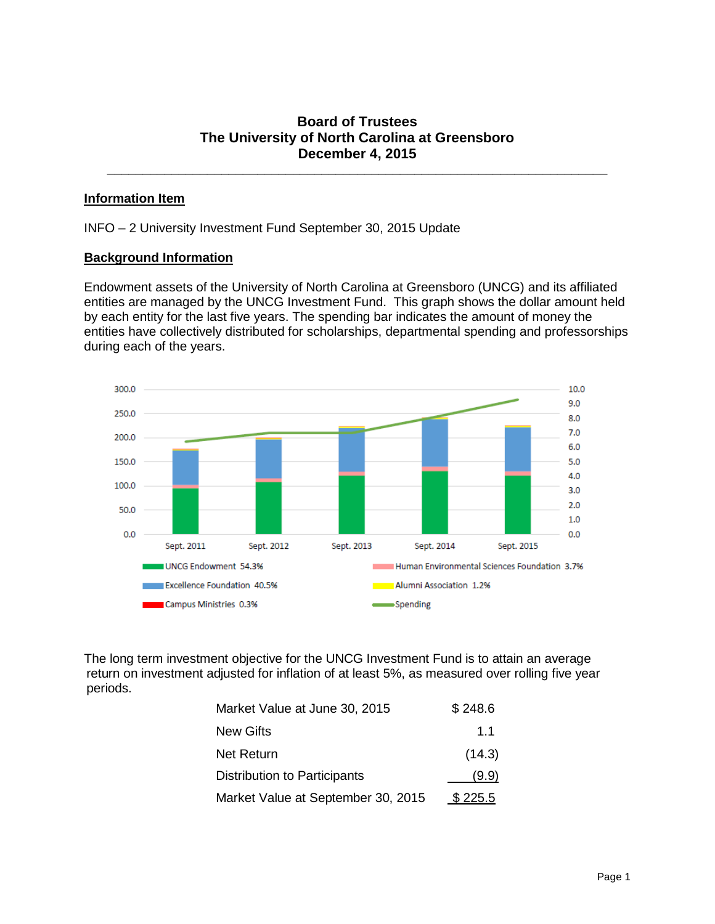## **Board of Trustees The University of North Carolina at Greensboro December 4, 2015**

**\_\_\_\_\_\_\_\_\_\_\_\_\_\_\_\_\_\_\_\_\_\_\_\_\_\_\_\_\_\_\_\_\_\_\_\_\_\_\_\_\_\_\_\_\_\_\_\_\_\_\_\_\_\_\_\_\_\_\_\_\_\_\_\_\_\_\_\_\_\_**

## **Information Item**

INFO – 2 University Investment Fund September 30, 2015 Update

## **Background Information**

Endowment assets of the University of North Carolina at Greensboro (UNCG) and its affiliated entities are managed by the UNCG Investment Fund. This graph shows the dollar amount held by each entity for the last five years. The spending bar indicates the amount of money the entities have collectively distributed for scholarships, departmental spending and professorships during each of the years.



The long term investment objective for the UNCG Investment Fund is to attain an average return on investment adjusted for inflation of at least 5%, as measured over rolling five year periods.

| Market Value at June 30, 2015       | \$248.6        |
|-------------------------------------|----------------|
| New Gifts                           | 1.1            |
| Net Return                          | (14.3)         |
| <b>Distribution to Participants</b> | (9.9)          |
| Market Value at September 30, 2015  | <u>\$225.5</u> |